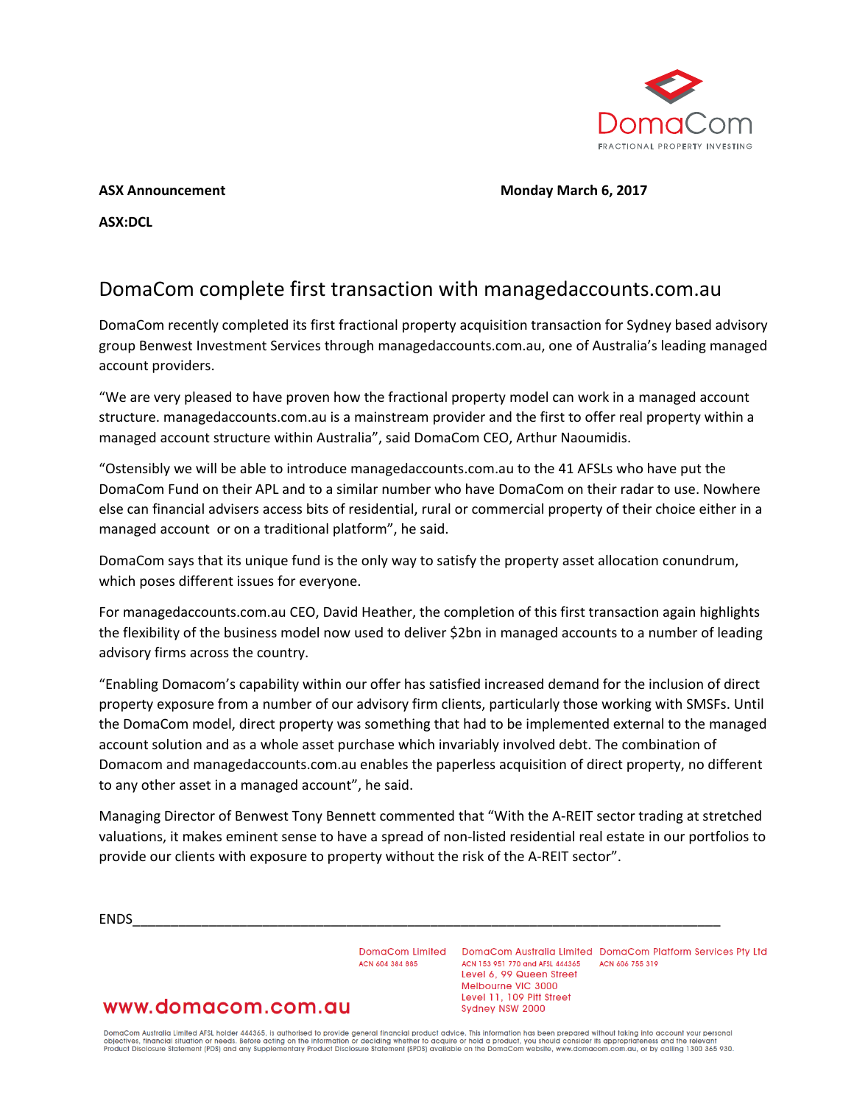

### **ASX Announcement Monday March 6, 2017**

**ASX:DCL**

# DomaCom complete first transaction with managedaccounts.com.au

DomaCom recently completed its first fractional property acquisition transaction for Sydney based advisory group Benwest Investment Services through managedaccounts.com.au, one of Australia's leading managed account providers.

"We are very pleased to have proven how the fractional property model can work in a managed account structure. managedaccounts.com.au is a mainstream provider and the first to offer real property within a managed account structure within Australia", said DomaCom CEO, Arthur Naoumidis.

"Ostensibly we will be able to introduce managedaccounts.com.au to the 41 AFSLs who have put the DomaCom Fund on their APL and to a similar number who have DomaCom on their radar to use. Nowhere else can financial advisers access bits of residential, rural or commercial property of their choice either in a managed account or on a traditional platform", he said.

DomaCom says that its unique fund is the only way to satisfy the property asset allocation conundrum, which poses different issues for everyone.

For managedaccounts.com.au CEO, David Heather, the completion of this first transaction again highlights the flexibility of the business model now used to deliver \$2bn in managed accounts to a number of leading advisory firms across the country.

"Enabling Domacom's capability within our offer has satisfied increased demand for the inclusion of direct property exposure from a number of our advisory firm clients, particularly those working with SMSFs. Until the DomaCom model, direct property was something that had to be implemented external to the managed account solution and as a whole asset purchase which invariably involved debt. The combination of Domacom and managedaccounts.com.au enables the paperless acquisition of direct property, no different to any other asset in a managed account", he said.

Managing Director of Benwest Tony Bennett commented that "With the A-REIT sector trading at stretched valuations, it makes eminent sense to have a spread of non-listed residential real estate in our portfolios to provide our clients with exposure to property without the risk of the A-REIT sector".

ENDS\_\_\_\_\_\_\_\_\_\_\_\_\_\_\_\_\_\_\_\_\_\_\_\_\_\_\_\_\_\_\_\_\_\_\_\_\_\_\_\_\_\_\_\_\_\_\_\_\_\_\_\_\_\_\_\_\_\_\_\_\_\_\_\_\_\_\_\_\_\_\_\_\_\_\_\_\_

ACN 604 384 885

DomaCom Limited DomaCom Australia Limited DomaCom Platform Services Pty Ltd ACN 153 951 770 and AFSL 444365 ACN 606 755 319 Level 6, 99 Queen Street Melbourne VIC 3000 Level 11, 109 Pitt Street Sydney NSW 2000

# www.domacom.com.au

DomaCom Australia Limited AFSL holder 444365, is authorised to provide general financial product advice. This information has been prepared without taking into account your personal<br>objectives, financial situation or needs